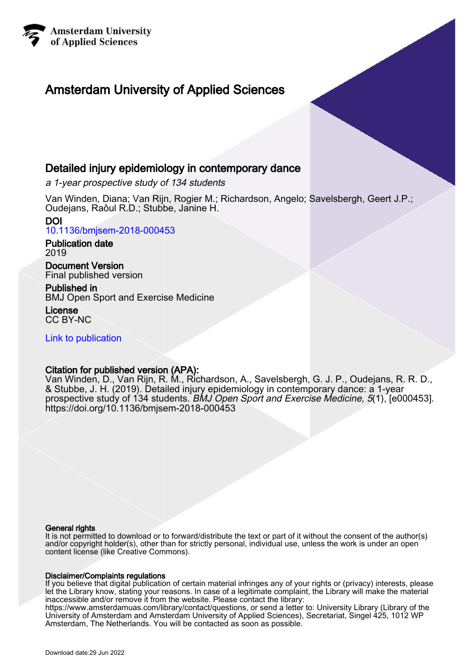

# Amsterdam University of Applied Sciences

# Detailed injury epidemiology in contemporary dance

a 1-year prospective study of 134 students

Van Winden, Diana; Van Rijn, Rogier M.; Richardson, Angelo; Savelsbergh, Geert J.P.; Oudejans, Raôul R.D.; Stubbe, Janine H.

DOI [10.1136/bmjsem-2018-000453](https://doi.org/10.1136/bmjsem-2018-000453)

Publication date 2019

Document Version Final published version

Published in BMJ Open Sport and Exercise Medicine

License CC BY-NC

[Link to publication](https://research.hva.nl/en/publications/113aed58-cab6-4a89-b7ed-5e2fc4d1166b)

# Citation for published version (APA):

Van Winden, D., Van Rijn, R. M., Richardson, A., Savelsbergh, G. J. P., Oudejans, R. R. D., & Stubbe, J. H. (2019). Detailed injury epidemiology in contemporary dance: a 1-year prospective study of 134 students. BMJ Open Sport and Exercise Medicine, 5(1), [e000453]. <https://doi.org/10.1136/bmjsem-2018-000453>

#### General rights

It is not permitted to download or to forward/distribute the text or part of it without the consent of the author(s) and/or copyright holder(s), other than for strictly personal, individual use, unless the work is under an open content license (like Creative Commons).

### Disclaimer/Complaints regulations

If you believe that digital publication of certain material infringes any of your rights or (privacy) interests, please let the Library know, stating your reasons. In case of a legitimate complaint, the Library will make the material inaccessible and/or remove it from the website. Please contact the library:

https://www.amsterdamuas.com/library/contact/questions, or send a letter to: University Library (Library of the University of Amsterdam and Amsterdam University of Applied Sciences), Secretariat, Singel 425, 1012 WP Amsterdam, The Netherlands. You will be contacted as soon as possible.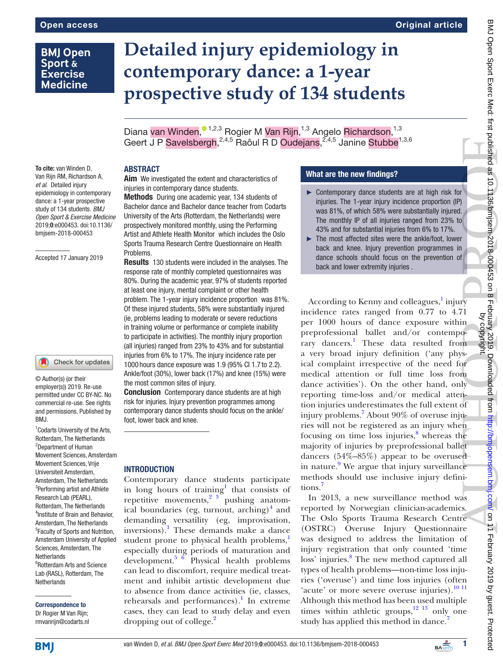# **BMJ Open** Sport & **Exercise Medicine**

# **Detailed injury epidemiology in contemporary dance: a 1-year prospective study of 134 students**

Diana van Winden[,](http://orcid.org/0000-0003-3088-7143)<sup>® 1,2,3</sup> Rogier M Van Rijn,<sup>1,3</sup> Angelo Richardson,<sup>1,3</sup> Geert J P Savelsbergh, <sup>2,4,5</sup> Raôul R D Oudejans, <sup>2,4,5</sup> Janine Stubbe<sup>1,3,6</sup>

To cite: van Winden D, Van Rijn RM, Richardson A, *et al*. Detailed injury epidemiology in contemporary dance: a 1-year prospective study of 134 students. *BMJ Open Sport & Exercise Medicine* 2019;0:e000453. doi:10.1136/ bmjsem-2018-000453

#### Accepted 17 January 2019

#### Check for updates

© Author(s) (or their employer(s)) 2019. Re-use permitted under CC BY-NC. No commercial re-use. See rights and permissions. Published by BMJ.

<sup>1</sup> Codarts University of the Arts, Rotterdam, The Netherlands 2 Department of Human Movement Sciences, Amsterdam Movement Sciences, Vrije Universiteit Amsterdam, Amsterdam, The Netherlands 3 Performing artist and Athlete Research Lab (PEARL), Rotterdam, The Netherlands 4 Institute of Brain and Behavior, Amsterdam, The Netherlands <sup>5</sup> Faculty of Sports and Nutrition, Amsterdam University of Applied Sciences, Amsterdam, The **Netherlands** 6 Rotterdam Arts and Science Lab (RASL), Rotterdam, The **Netherlands** 

Correspondence to Dr Rogier M Van Rijn; rmvanrijn@codarts.nl

# **ABSTRACT**

Aim We investigated the extent and characteristics of injuries in contemporary dance students.

Methods During one academic year, 134 students of Bachelor dance and Bachelor dance teacher from Codarts University of the Arts (Rotterdam, the Netherlands) were prospectively monitored monthly, using the Performing Artist and Athlete Health Monitor which includes the Oslo Sports Trauma Research Centre Questionnaire on Health **Problems** 

Results 130 students were included in the analyses. The response rate of monthly completed questionnaires was 80%. During the academic year, 97% of students reported at least one injury, mental complaint or other health problem. The 1-year injury incidence proportion was 81%. Of these injured students, 58% were substantially injured (ie, problems leading to moderate or severe reductions in training volume or performance or complete inability to participate in activities). The monthly injury proportion (all injuries) ranged from 23% to 43% and for substantial injuries from 6% to 17%. The injury incidence rate per 1000 hours dance exposure was 1.9 (95% CI 1.7 to 2.2). Ankle/foot (30%), lower back (17%) and knee (15%) were the most common sites of injury.

**Conclusion** Contemporary dance students are at high risk for injuries. Injury prevention programmes among contemporary dance students should focus on the ankle/ foot, lower back and knee.

#### **INTRODUCTION**

Contemporary dance students participate in long hours of training<sup>1</sup> that consists of repetitive movements,  $2^{3}$  pushing anatomical boundaries (eg, turnout, arching)<sup>4</sup> and demanding versatility (eg, improvisation, inversions).<sup>[1](#page-5-2)</sup> These demands make a dance student prone to physical health problems,<sup>1</sup> especially during periods of maturation and development.[5 6](#page-5-3) Physical health problems can lead to discomfort, require medical treatment and inhibit artistic development due to absence from dance activities (ie, classes, rehearsals and performances).<sup>[1](#page-5-2)</sup> In extreme cases, they can lead to study delay and even dropping out of college.<sup>[2](#page-5-0)</sup>

#### What are the new findings?

- ► Contemporary dance students are at high risk for injuries. The 1-year injury incidence proportion (IP) was 81%, of which 58% were substantially injured. The monthly IP of all injuries ranged from 23% to 43% and for substantial injuries from 6% to 17%.
- ► The most affected sites were the ankle/foot, lower back and knee. Injury prevention programmes in dance schools should focus on the prevention of back and lower extremity injuries .

According to Kenny and colleagues,<sup>[1](#page-5-2)</sup> injury incidence rates ranged from 0.77 to 4.71 per 1000 hours of dance exposure within preprofessional ballet and/or contempo-rary dancers.<sup>[1](#page-5-2)</sup> These data resulted from a very broad injury definition ('any physical complaint irrespective of the need for medical attention or full time loss from dance activities'). On the other hand, only reporting time-loss and/or medical attention injuries underestimates the full extent of injury problems.<sup>7</sup> About 90% of overuse injuries will not be registered as an injury when focusing on time loss injuries, $8$  whereas the majority of injuries by preprofessional ballet dancers (54%–85%) appear to be overused in nature.<sup>[9](#page-5-6)</sup> We argue that injury surveillance methods should use inclusive injury definitions[.7](#page-5-4)

In 2013, a new surveillance method was reported by Norwegian clinician-academics. The Oslo Sports Trauma Research Centre (OSTRC) Overuse Injury Questionnaire was designed to address the limitation of injury registration that only counted 'time loss' injuries.<sup>[8](#page-5-5)</sup> The new method captured all types of health problems—non-time loss injuries ('overuse') and time loss injuries (often 'acute' or more severe overuse injuries).<sup>[10 11](#page-5-7)</sup> Although this method has been used multiple times within athletic groups, $12 \frac{13}{13}$  only one study has applied this method in dance.<sup>[7](#page-5-4)</sup>

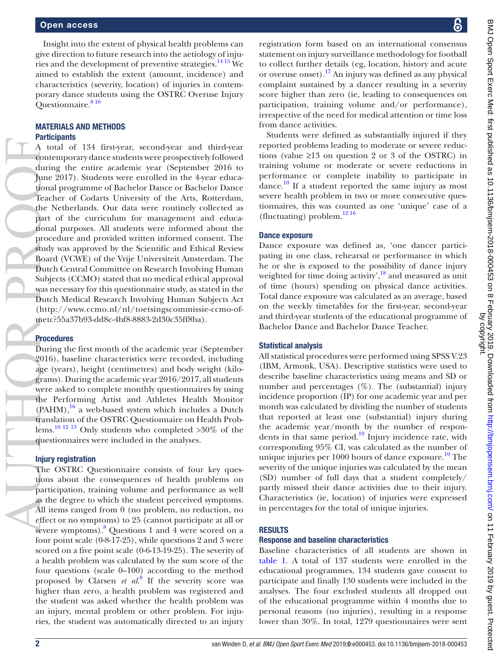Insight into the extent of physical health problems can give direction to future research into the aetiology of injuries and the development of preventive strategies.<sup>14 15</sup> We aimed to establish the extent (amount, incidence) and characteristics (severity, location) of injuries in contemporary dance students using the OSTRC Overuse Injury Questionnaire.<sup>810</sup>

#### Materials and methods **Participants**

A total of 134 first-year, second-year and third-year contemporary dance students were prospectively followed during the entire academic year (September 2016 to June 2017). Students were enrolled in the 4-year educational programme of Bachelor Dance or Bachelor Dance Teacher of Codarts University of the Arts, Rotterdam, the Netherlands. Our data were routinely collected as part of the curriculum for management and educational purposes. All students were informed about the procedure and provided written informed consent. The study was approved by the Scientific and Ethical Review Board (VCWE) of the Vrije Universiteit Amsterdam. The Dutch Central Committee on Research Involving Human Subjects (CCMO) stated that no medical ethical approval was necessary for this questionnaire study, as stated in the Dutch Medical Research Involving Human Subjects Act ([http://www.ccmo.nl/nl/toetsingscommissie-ccmo-of](http://www.ccmo.nl/nl/toetsingscommissie-ccmo-of-metc)[metc](http://www.ccmo.nl/nl/toetsingscommissie-ccmo-of-metc)?55a37b93-dd8c-4bf8-8883-2d30c35ff8ba). AUTHOR PROPERTY AND COLLEGE AND COLLEGE AND COLLEGE AND COLLEGE AND DESCRIPTION OF THE PROPERTY OF THE PROPERTY OF THE PROPERTY OF THE PROPERTY OF THE PROPERTY OF THE PROPERTY OF THE PROPERTY OF THE PROPERTY OF THE PROPERT

#### Procedures

During the first month of the academic year (September 2016), baseline characteristics were recorded, including age (years), height (centimetres) and body weight (kilograms). During the academic year 2016/2017, all students were asked to complete monthly questionnaires by using the Performing Artist and Athletes Health Monitor  $(PAHM)$ ,<sup>16</sup> a web-based system which includes a Dutch translation of the OSTRC Questionnaire on Health Problems.<sup>10 12 13</sup> Only students who completed  $>30\%$  of the questionnaires were included in the analyses.

#### Injury registration

The OSTRC Questionnaire consists of four key questions about the consequences of health problems on participation, training volume and performance as well as the degree to which the student perceived symptoms. All items ranged from 0 (no problem, no reduction, no effect or no symptoms) to 25 (cannot participate at all or severe symptoms).<sup>8</sup> Questions 1 and 4 were scored on a four point scale (0-8-17-25), while questions 2 and 3 were scored on a five point scale (0-6-13-19-25). The severity of a health problem was calculated by the sum score of the four questions (scale 0–100) according to the method proposed by Clarsen *et al*. [8](#page-5-5) If the severity score was higher than zero, a health problem was registered and the student was asked whether the health problem was an injury, mental problem or other problem. For injuries, the student was automatically directed to an injury

registration form based on an international consensus statement on injury surveillance methodology for football to collect further details (eg, location, history and acute or overuse onset).[17](#page-5-11) An injury was defined as any physical complaint sustained by a dancer resulting in a severity score higher than zero (ie, leading to consequences on participation, training volume and/or performance), irrespective of the need for medical attention or time loss from dance activities.

Students were defined as substantially injured if they reported problems leading to moderate or severe reductions (value  $\geq$ 13 on question 2 or 3 of the OSTRC) in training volume or moderate or severe reductions in performance or complete inability to participate in dance.<sup>10</sup> If a student reported the same injury as most severe health problem in two or more consecutive questionnaires, this was counted as one 'unique' case of a (fluctuating) problem. $1216$ 

#### Dance exposure

Dance exposure was defined as, 'one dancer participating in one class, rehearsal or performance in which he or she is exposed to the possibility of dance injury weighted for time doing activity',<sup>18</sup> and measured as unit of time (hours) spending on physical dance activities. Total dance exposure was calculated as an average, based on the weekly timetables for the first-year, second-year and third-year students of the educational programme of Bachelor Dance and Bachelor Dance Teacher.

#### Statistical analysis

All statistical procedures were performed using SPSS V.23 (IBM, Armonk, USA). Descriptive statistics were used to describe baseline characteristics using means and SD or number and percentages  $(\%)$ . The (substantial) injury incidence proportion (IP) for one academic year and per month was calculated by dividing the number of students that reported at least one (substantial) injury during the academic year/month by the number of respondents in that same period.[19](#page-5-13) Injury incidence rate, with corresponding 95% CI, was calculated as the number of unique injuries per  $1000$  hours of dance exposure.<sup>[19](#page-5-13)</sup> The severity of the unique injuries was calculated by the mean (SD) number of full days that a student completely/ partly missed their dance activities due to their injury. Characteristics (ie, location) of injuries were expressed in percentages for the total of unique injuries.

#### **RESULTS**

#### Response and baseline characteristics

Baseline characteristics of all students are shown in [table](#page-3-0) 1. A total of 137 students were enrolled in the educational programmes, 134 students gave consent to participate and finally 130 students were included in the analyses. The four excluded students all dropped out of the educational programme within 4 months due to personal reasons (no injuries), resulting in a response lower than 30%. In total, 1279 questionnaires were sent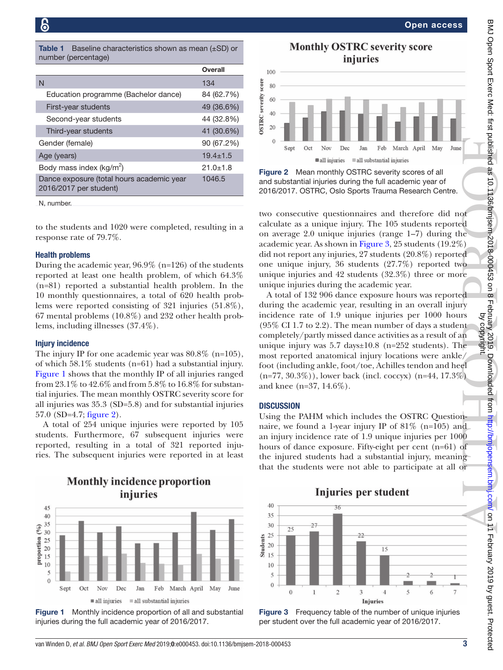<span id="page-3-0"></span>**Table 1** Baseline characteristics shown as mean  $(\pm SD)$  or number (percentage)

|                                                                     | Overall      |
|---------------------------------------------------------------------|--------------|
| N                                                                   | 134          |
| Education programme (Bachelor dance)                                | 84 (62.7%)   |
| First-year students                                                 | 49 (36.6%)   |
| Second-year students                                                | 44 (32.8%)   |
| Third-year students                                                 | 41 (30.6%)   |
| Gender (female)                                                     | 90 (67.2%)   |
| Age (years)                                                         | $19.4 + 1.5$ |
| Body mass index ( $kg/m^2$ )                                        | $21.0 + 1.8$ |
| Dance exposure (total hours academic year<br>2016/2017 per student) | 1046.5       |

N, number.

to the students and 1020 were completed, resulting in a response rate of 79.7%.

#### Health problems

During the academic year, 96.9% (n=126) of the students reported at least one health problem, of which 64.3% (n=81) reported a substantial health problem. In the 10 monthly questionnaires, a total of 620 health problems were reported consisting of 321 injuries (51.8%), 67 mental problems (10.8%) and 232 other health problems, including illnesses (37.4%).

#### Injury incidence

The injury IP for one academic year was 80.8% (n=105), of which 58.1% students (n=61) had a substantial injury. [Figure](#page-3-1) 1 shows that the monthly IP of all injuries ranged from 23.1% to 42.6% and from 5.8% to 16.8% for substantial injuries. The mean monthly OSTRC severity score for all injuries was 35.3 (SD=5.8) and for substantial injuries 57.0 (SD=4.7; [figure](#page-3-2) 2).

A total of 254 unique injuries were reported by 105 students. Furthermore, 67 subsequent injuries were reported, resulting in a total of 321 reported injuries. The subsequent injuries were reported in at least

**Monthly incidence proportion** 



<span id="page-3-1"></span>Figure 1 Monthly incidence proportion of all and substantial injuries during the full academic year of 2016/2017.

Open access



<span id="page-3-2"></span>Figure 2 Mean monthly OSTRC severity scores of all and substantial injuries during the full academic year of 2016/2017. OSTRC, Oslo Sports Trauma Research Centre.

two consecutive questionnaires and therefore did not calculate as a unique injury. The 105 students reported on average 2.0 unique injuries (range 1–7) during the academic year. As shown in [Figure](#page-3-3) 3, 25 students (19.2%) did not report any injuries, 27 students (20.8%) reported one unique injury, 36 students (27.7%) reported two unique injuries and 42 students (32.3%) three or more unique injuries during the academic year.

A total of 132 906 dance exposure hours was reported during the academic year, resulting in an overall injury incidence rate of 1.9 unique injuries per 1000 hours (95% CI 1.7 to 2.2). The mean number of days a student completely/partly missed dance activities as a result of an unique injury was  $5.7 \text{ days} \pm 10.8 \text{ (n=252 students)}$ . The most reported anatomical injury locations were ankle/ foot (including ankle, foot/toe, Achilles tendon and heel  $(n=77, 30.3\%)$ ), lower back (incl. coccyx)  $(n=44, 17.3\%)$ and knee (n=37, 14.6%).

#### **DISCUSSION**

Using the PAHM which includes the OSTRC Questionnaire, we found a 1-year injury IP of  $81\%$  (n=105) and an injury incidence rate of 1.9 unique injuries per 1000 hours of dance exposure. Fifty-eight per cent (n=61) of the injured students had a substantial injury, meaning



<span id="page-3-3"></span>Figure 3 Frequency table of the number of unique injuries per student over the full academic year of 2016/2017.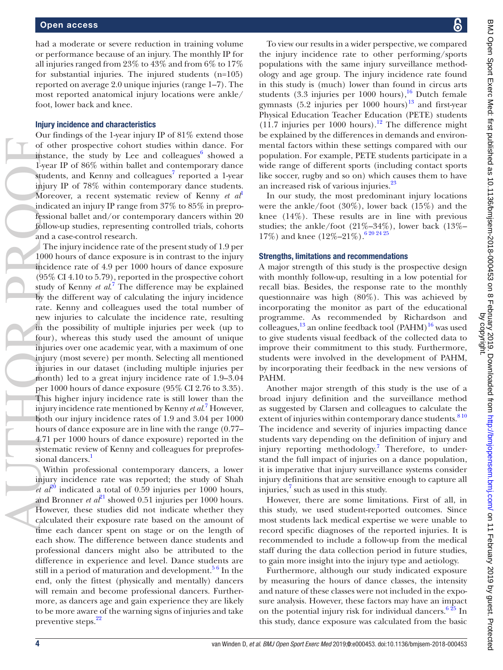had a moderate or severe reduction in training volume or performance because of an injury. The monthly IP for all injuries ranged from 23% to 43% and from 6% to 17% for substantial injuries. The injured students (n=105) reported on average 2.0 unique injuries (range 1–7). The most reported anatomical injury locations were ankle/ foot, lower back and knee.

#### Injury incidence and characteristics

Our findings of the 1-year injury IP of 81% extend those of other prospective cohort studies within dance. For instance, the study by Lee and colleagues $^6$  showed a 1-year IP of 86% within ballet and contemporary dance students, and Kenny and colleagues $^7$  $^7$  reported a 1-year injury IP of 78% within contemporary dance students. Moreover, a recent systematic review of Kenny *et al*<sup>[1](#page-5-2)</sup> indicated an injury IP range from 37% to 85% in preprofessional ballet and/or contemporary dancers within 20 follow-up studies, representing controlled trials, cohorts and a case-control research.

The injury incidence rate of the present study of 1.9 per 1000 hours of dance exposure is in contrast to the injury incidence rate of 4.9 per 1000 hours of dance exposure (95% CI 4.10 to 5.79), reported in the prospective cohort study of Kenny *et al*. [7](#page-5-4) The difference may be explained by the different way of calculating the injury incidence rate. Kenny and colleagues used the total number of new injuries to calculate the incidence rate, resulting in the possibility of multiple injuries per week (up to four), whereas this study used the amount of unique injuries over one academic year, with a maximum of one injury (most severe) per month. Selecting all mentioned injuries in our dataset (including multiple injuries per month) led to a great injury incidence rate of 1.9–3.04 per 1000 hours of dance exposure (95% CI 2.76 to 3.35). This higher injury incidence rate is still lower than the injury incidence rate mentioned by Kenny *et al*. [7](#page-5-4) However, both our injury incidence rates of 1.9 and 3.04 per 1000 hours of dance exposure are in line with the range (0.77– 4.71 per 1000 hours of dance exposure) reported in the systematic review of Kenny and colleagues for preprofes-sional dancers.<sup>[1](#page-5-2)</sup> AUTHOR COMPANY COMPANY COMPANY COMPANY COMPANY COMPANY COMPANY COMPANY COMPANY COMPANY COMPANY COMPANY COMPANY COMPANY COMPANY COMPANY COMPANY COMPANY COMPANY COMPANY COMPANY COMPANY COMPANY COMPANY COMPANY COMPANY COMPANY

Within professional contemporary dancers, a lower injury incidence rate was reported; the study of Shah *et*  $a^2$ <sup>0</sup> indicated a total of 0.59 injuries per 1000 hours, and Bronner *et al*<sup>21</sup> showed 0.51 injuries per 1000 hours. However, these studies did not indicate whether they calculated their exposure rate based on the amount of time each dancer spent on stage or on the length of each show. The difference between dance students and professional dancers might also be attributed to the difference in experience and level. Dance students are still in a period of maturation and development.<sup>56</sup> In the end, only the fittest (physically and mentally) dancers will remain and become professional dancers. Furthermore, as dancers age and gain experience they are likely to be more aware of the warning signs of injuries and take preventive steps.<sup>[22](#page-5-17)</sup>

To view our results in a wider perspective, we compared the injury incidence rate to other performing/sports populations with the same injury surveillance methodology and age group. The injury incidence rate found in this study is (much) lower than found in circus arts students  $(3.3 \text{ injuries per } 1000 \text{ hours})$ ,<sup>16</sup> Dutch female gymnasts  $(5.2 \text{ injuries per } 1000 \text{ hours})^{13}$  $(5.2 \text{ injuries per } 1000 \text{ hours})^{13}$  $(5.2 \text{ injuries per } 1000 \text{ hours})^{13}$  and first-year Physical Education Teacher Education (PETE) students  $(11.7 \text{ injuries per } 1000 \text{ hours}).$ <sup>12</sup> The difference might be explained by the differences in demands and environmental factors within these settings compared with our population. For example, PETE students participate in a wide range of different sports (including contact sports like soccer, rugby and so on) which causes them to have an increased risk of various injuries.<sup>[23](#page-5-19)</sup>

In our study, the most predominant injury locations were the ankle/foot (30%), lower back (15%) and the knee (14%). These results are in line with previous studies; the ankle/foot (21%–34%), lower back (13%– 17%) and knee  $(12\%-21\%)$ .  $6\frac{20\,24\,25}{}$ 

#### Strengths, limitations and recommendations

A major strength of this study is the prospective design with monthly follow-up, resulting in a low potential for recall bias. Besides, the response rate to the monthly questionnaire was high (80%). This was achieved by incorporating the monitor as part of the educational programme. As recommended by Richardson and colleagues, $^{13}$  an online feedback tool (PAHM) $^{16}$  $^{16}$  $^{16}$  was used to give students visual feedback of the collected data to improve their commitment to this study. Furthermore, students were involved in the development of PAHM, by incorporating their feedback in the new versions of PAHM.

Another major strength of this study is the use of a broad injury definition and the surveillance method as suggested by Clarsen and colleagues to calculate the extent of injuries within contemporary dance students.<sup>810</sup> The incidence and severity of injuries impacting dance students vary depending on the definition of injury and injury reporting methodology.<sup>7</sup> Therefore, to understand the full impact of injuries on a dance population, it is imperative that injury surveillance systems consider injury definitions that are sensitive enough to capture all injuries,<sup>[7](#page-5-4)</sup> such as used in this study.

However, there are some limitations. First of all, in this study, we used student-reported outcomes. Since most students lack medical expertise we were unable to record specific diagnoses of the reported injuries. It is recommended to include a follow-up from the medical staff during the data collection period in future studies, to gain more insight into the injury type and aetiology.

Furthermore, although our study indicated exposure by measuring the hours of dance classes, the intensity and nature of these classes were not included in the exposure analysis. However, these factors may have an impact on the potential injury risk for individual dancers. $625$  In this study, dance exposure was calculated from the basic